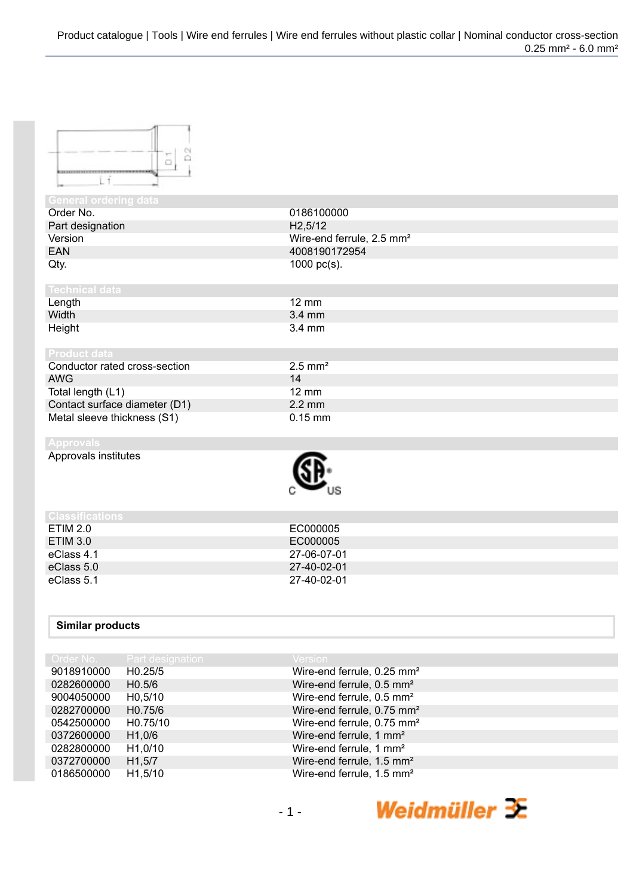

## **General ordering data**

| Order No.                     | 0186100000                            |
|-------------------------------|---------------------------------------|
| Part designation              | H <sub>2</sub> ,5/12                  |
| Version                       | Wire-end ferrule, 2.5 mm <sup>2</sup> |
| <b>EAN</b>                    | 4008190172954                         |
| Qty.                          | 1000 $pc(s)$ .                        |
| <b>Technical data</b>         |                                       |
| Length                        | $12 \text{ mm}$                       |
| Width                         | $3.4 \text{ mm}$                      |
| Height                        | $3.4 \text{ mm}$                      |
|                               |                                       |
| <b>Product data</b>           |                                       |
| Conductor rated cross-section | $2.5$ mm <sup>2</sup>                 |
| <b>AWG</b>                    | 14                                    |
| Total length (L1)             | $12 \text{ mm}$                       |
| Contact surface diameter (D1) | $2.2 \text{ mm}$                      |
| Metal sleeve thickness (S1)   | $0.15$ mm                             |

Approvals institutes



| <b>Classifications</b> |             |
|------------------------|-------------|
| ETIM 2.0               | EC000005    |
| <b>ETIM 3.0</b>        | EC000005    |
| eClass 4.1             | 27-06-07-01 |
| eClass 5.0             | 27-40-02-01 |
| eClass 5.1             | 27-40-02-01 |

## **Similar products**

| Order No.  | <b>Part designation</b> | <b>Version</b>                         |
|------------|-------------------------|----------------------------------------|
| 9018910000 | H <sub>0.25</sub> /5    | Wire-end ferrule, 0.25 mm <sup>2</sup> |
| 0282600000 | H <sub>0.5/6</sub>      | Wire-end ferrule, 0.5 mm <sup>2</sup>  |
| 9004050000 | H <sub>0.5</sub> /10    | Wire-end ferrule, 0.5 mm <sup>2</sup>  |
| 0282700000 | H <sub>0.75</sub> /6    | Wire-end ferrule, 0.75 mm <sup>2</sup> |
| 0542500000 | H <sub>0.75</sub> /10   | Wire-end ferrule, 0.75 mm <sup>2</sup> |
| 0372600000 | H1,0/6                  | Wire-end ferrule, 1 mm <sup>2</sup>    |
| 0282800000 | H <sub>1</sub> ,0/10    | Wire-end ferrule, 1 mm <sup>2</sup>    |
| 0372700000 | H1,5/7                  | Wire-end ferrule, 1.5 mm <sup>2</sup>  |
| 0186500000 | H <sub>1.5</sub> /10    | Wire-end ferrule, 1.5 mm <sup>2</sup>  |